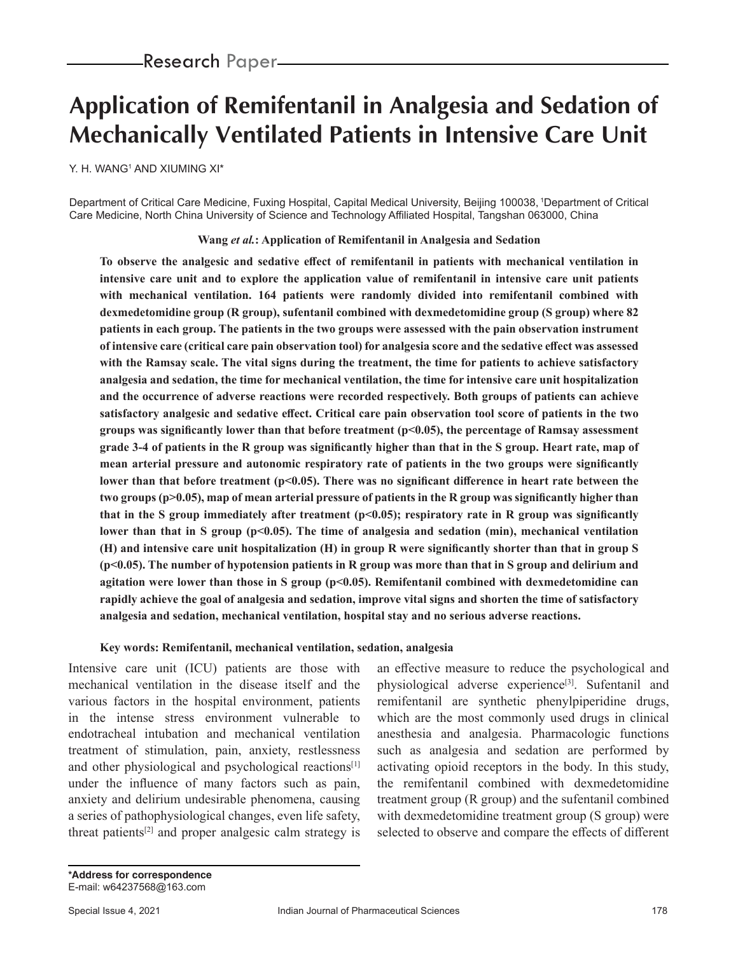# **Application of Remifentanil in Analgesia and Sedation of Mechanically Ventilated Patients in Intensive Care Unit**

Y. H. WANGʻAND XIUMING XI\*

Department of Critical Care Medicine, Fuxing Hospital, Capital Medical University, Beijing 100038, 1Department of Critical Care Medicine, North China University of Science and Technology Affiliated Hospital, Tangshan 063000, China

**Wang** *et al.***: Application of Remifentanil in Analgesia and Sedation**

**To observe the analgesic and sedative effect of remifentanil in patients with mechanical ventilation in intensive care unit and to explore the application value of remifentanil in intensive care unit patients with mechanical ventilation. 164 patients were randomly divided into remifentanil combined with dexmedetomidine group (R group), sufentanil combined with dexmedetomidine group (S group) where 82 patients in each group. The patients in the two groups were assessed with the pain observation instrument of intensive care (critical care pain observation tool) for analgesia score and the sedative effect was assessed with the Ramsay scale. The vital signs during the treatment, the time for patients to achieve satisfactory analgesia and sedation, the time for mechanical ventilation, the time for intensive care unit hospitalization and the occurrence of adverse reactions were recorded respectively. Both groups of patients can achieve satisfactory analgesic and sedative effect. Critical care pain observation tool score of patients in the two groups was significantly lower than that before treatment (p<0.05), the percentage of Ramsay assessment grade 3-4 of patients in the R group was significantly higher than that in the S group. Heart rate, map of mean arterial pressure and autonomic respiratory rate of patients in the two groups were significantly**  lower than that before treatment (p<0.05). There was no significant difference in heart rate between the **two groups (p>0.05), map of mean arterial pressure of patients in the R group was significantly higher than that in the S group immediately after treatment (p<0.05); respiratory rate in R group was significantly**  lower than that in S group (p<0.05). The time of analgesia and sedation (min), mechanical ventilation **(H) and intensive care unit hospitalization (H) in group R were significantly shorter than that in group S (p<0.05). The number of hypotension patients in R group was more than that in S group and delirium and agitation were lower than those in S group (p<0.05). Remifentanil combined with dexmedetomidine can rapidly achieve the goal of analgesia and sedation, improve vital signs and shorten the time of satisfactory analgesia and sedation, mechanical ventilation, hospital stay and no serious adverse reactions.**

#### **Key words: Remifentanil, mechanical ventilation, sedation, analgesia**

Intensive care unit (ICU) patients are those with mechanical ventilation in the disease itself and the various factors in the hospital environment, patients in the intense stress environment vulnerable to endotracheal intubation and mechanical ventilation treatment of stimulation, pain, anxiety, restlessness and other physiological and psychological reactions<sup>[1]</sup> under the influence of many factors such as pain, anxiety and delirium undesirable phenomena, causing a series of pathophysiological changes, even life safety, threat patients<sup>[2]</sup> and proper analgesic calm strategy is an effective measure to reduce the psychological and physiological adverse experience<sup>[3]</sup>. Sufentanil and remifentanil are synthetic phenylpiperidine drugs, which are the most commonly used drugs in clinical anesthesia and analgesia. Pharmacologic functions such as analgesia and sedation are performed by activating opioid receptors in the body. In this study, the remifentanil combined with dexmedetomidine treatment group (R group) and the sufentanil combined with dexmedetomidine treatment group (S group) were selected to observe and compare the effects of different

*\*Address for correspondence* E-mail: w64237568@163.com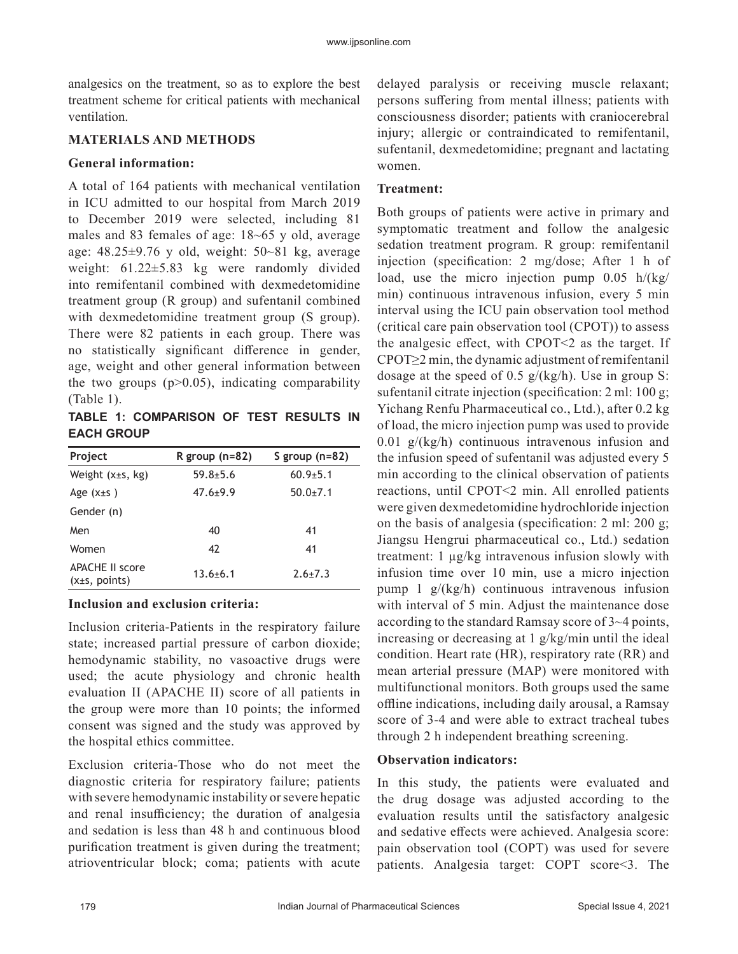analgesics on the treatment, so as to explore the best treatment scheme for critical patients with mechanical ventilation.

# **MATERIALS AND METHODS**

# **General information:**

A total of 164 patients with mechanical ventilation in ICU admitted to our hospital from March 2019 to December 2019 were selected, including 81 males and 83 females of age: 18~65 y old, average age: 48.25±9.76 y old, weight: 50~81 kg, average weight: 61.22±5.83 kg were randomly divided into remifentanil combined with dexmedetomidine treatment group (R group) and sufentanil combined with dexmedetomidine treatment group (S group). There were 82 patients in each group. There was no statistically significant difference in gender, age, weight and other general information between the two groups  $(p>0.05)$ , indicating comparability (Table 1).

**TABLE 1: COMPARISON OF TEST RESULTS IN EACH GROUP**

| Project                                 | R group $(n=82)$ | S group $(n=82)$ |
|-----------------------------------------|------------------|------------------|
| Weight (x±s, kg)                        | $59.8 + 5.6$     | $60.9{\pm}5.1$   |
| Age $(x \pm s)$                         | $47.6 \pm 9.9$   | $50.0+7.1$       |
| Gender (n)                              |                  |                  |
| Men                                     | 40               | 41               |
| Women                                   | 42               | 41               |
| <b>APACHE II score</b><br>(x±s, points) | $13.6 + 6.1$     | $2.6 + 7.3$      |

# **Inclusion and exclusion criteria:**

Inclusion criteria-Patients in the respiratory failure state; increased partial pressure of carbon dioxide; hemodynamic stability, no vasoactive drugs were used; the acute physiology and chronic health evaluation II (APACHE II) score of all patients in the group were more than 10 points; the informed consent was signed and the study was approved by the hospital ethics committee.

Exclusion criteria-Those who do not meet the diagnostic criteria for respiratory failure; patients with severe hemodynamic instability or severe hepatic and renal insufficiency; the duration of analgesia and sedation is less than 48 h and continuous blood purification treatment is given during the treatment; atrioventricular block; coma; patients with acute delayed paralysis or receiving muscle relaxant; persons suffering from mental illness; patients with consciousness disorder; patients with craniocerebral injury; allergic or contraindicated to remifentanil, sufentanil, dexmedetomidine; pregnant and lactating women.

# **Treatment:**

Both groups of patients were active in primary and symptomatic treatment and follow the analgesic sedation treatment program. R group: remifentanil injection (specification: 2 mg/dose; After 1 h of load, use the micro injection pump 0.05 h/(kg/ min) continuous intravenous infusion, every 5 min interval using the ICU pain observation tool method (critical care pain observation tool (CPOT)) to assess the analgesic effect, with CPOT $\leq$  2 as the target. If CPOT≥2 min, the dynamic adjustment of remifentanil dosage at the speed of 0.5  $g/(kg/h)$ . Use in group S: sufentanil citrate injection (specification: 2 ml: 100 g; Yichang Renfu Pharmaceutical co., Ltd.), after 0.2 kg of load, the micro injection pump was used to provide  $0.01$  g/(kg/h) continuous intravenous infusion and the infusion speed of sufentanil was adjusted every 5 min according to the clinical observation of patients reactions, until CPOT<2 min. All enrolled patients were given dexmedetomidine hydrochloride injection on the basis of analgesia (specification: 2 ml: 200 g; Jiangsu Hengrui pharmaceutical co., Ltd.) sedation treatment: 1 µg/kg intravenous infusion slowly with infusion time over 10 min, use a micro injection pump 1 g/(kg/h) continuous intravenous infusion with interval of 5 min. Adjust the maintenance dose according to the standard Ramsay score of 3~4 points, increasing or decreasing at 1 g/kg/min until the ideal condition. Heart rate (HR), respiratory rate (RR) and mean arterial pressure (MAP) were monitored with multifunctional monitors. Both groups used the same offline indications, including daily arousal, a Ramsay score of 3-4 and were able to extract tracheal tubes through 2 h independent breathing screening.

# **Observation indicators:**

In this study, the patients were evaluated and the drug dosage was adjusted according to the evaluation results until the satisfactory analgesic and sedative effects were achieved. Analgesia score: pain observation tool (COPT) was used for severe patients. Analgesia target: COPT score<3. The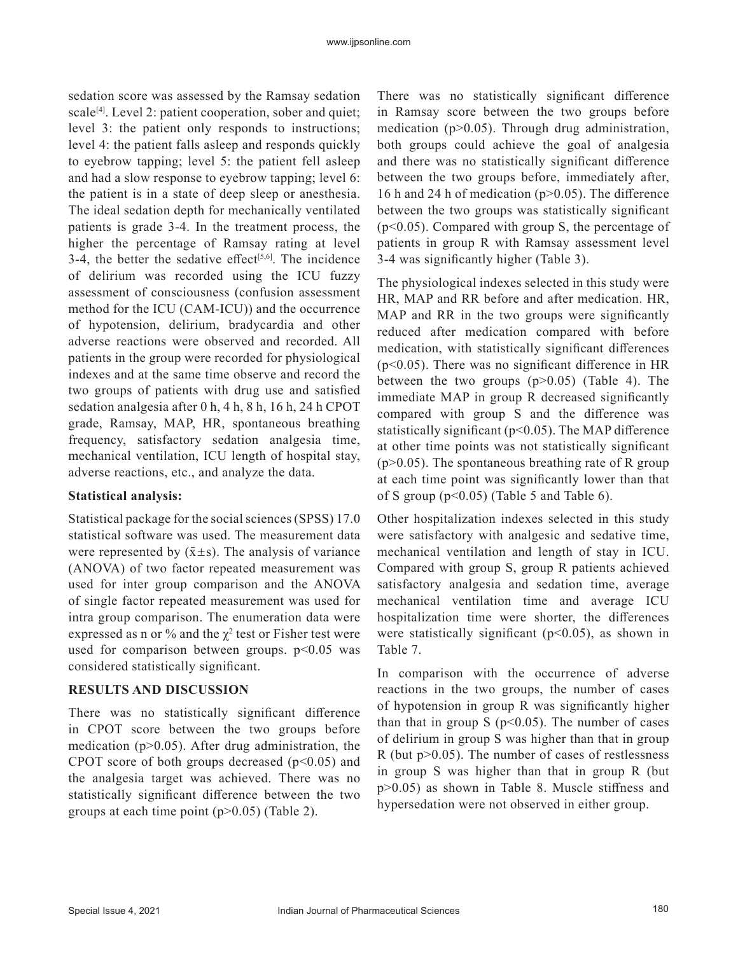sedation score was assessed by the Ramsay sedation scale<sup>[4]</sup>. Level 2: patient cooperation, sober and quiet; level 3: the patient only responds to instructions; level 4: the patient falls asleep and responds quickly to eyebrow tapping; level 5: the patient fell asleep and had a slow response to eyebrow tapping; level 6: the patient is in a state of deep sleep or anesthesia. The ideal sedation depth for mechanically ventilated patients is grade 3-4. In the treatment process, the higher the percentage of Ramsay rating at level 3-4, the better the sedative effect<sup>[5,6]</sup>. The incidence of delirium was recorded using the ICU fuzzy assessment of consciousness (confusion assessment method for the ICU (CAM-ICU)) and the occurrence of hypotension, delirium, bradycardia and other adverse reactions were observed and recorded. All patients in the group were recorded for physiological indexes and at the same time observe and record the two groups of patients with drug use and satisfied sedation analgesia after 0 h, 4 h, 8 h, 16 h, 24 h CPOT grade, Ramsay, MAP, HR, spontaneous breathing frequency, satisfactory sedation analgesia time, mechanical ventilation, ICU length of hospital stay, adverse reactions, etc., and analyze the data.

## **Statistical analysis:**

Statistical package for the social sciences (SPSS) 17.0 statistical software was used. The measurement data were represented by  $(\bar{x} \pm s)$ . The analysis of variance (ANOVA) of two factor repeated measurement was used for inter group comparison and the ANOVA of single factor repeated measurement was used for intra group comparison. The enumeration data were expressed as n or % and the  $\chi^2$  test or Fisher test were used for comparison between groups.  $p<0.05$  was considered statistically significant.

#### **RESULTS AND DISCUSSION**

There was no statistically significant difference in CPOT score between the two groups before medication ( $p$  $>$ 0.05). After drug administration, the CPOT score of both groups decreased  $(p<0.05)$  and the analgesia target was achieved. There was no statistically significant difference between the two groups at each time point  $(p>0.05)$  (Table 2).

There was no statistically significant difference in Ramsay score between the two groups before medication ( $p>0.05$ ). Through drug administration, both groups could achieve the goal of analgesia and there was no statistically significant difference between the two groups before, immediately after, 16 h and 24 h of medication (p>0.05). The difference between the two groups was statistically significant  $(p<0.05)$ . Compared with group S, the percentage of patients in group R with Ramsay assessment level 3-4 was significantly higher (Table 3).

The physiological indexes selected in this study were HR, MAP and RR before and after medication. HR, MAP and RR in the two groups were significantly reduced after medication compared with before medication, with statistically significant differences  $(p<0.05)$ . There was no significant difference in HR between the two groups (p>0.05) (Table 4). The immediate MAP in group R decreased significantly compared with group S and the difference was statistically significant ( $p$ <0.05). The MAP difference at other time points was not statistically significant  $(p>0.05)$ . The spontaneous breathing rate of R group at each time point was significantly lower than that of S group ( $p<0.05$ ) (Table 5 and Table 6).

Other hospitalization indexes selected in this study were satisfactory with analgesic and sedative time, mechanical ventilation and length of stay in ICU. Compared with group S, group R patients achieved satisfactory analgesia and sedation time, average mechanical ventilation time and average ICU hospitalization time were shorter, the differences were statistically significant  $(p<0.05)$ , as shown in Table 7.

In comparison with the occurrence of adverse reactions in the two groups, the number of cases of hypotension in group R was significantly higher than that in group S ( $p<0.05$ ). The number of cases of delirium in group S was higher than that in group R (but p>0.05). The number of cases of restlessness in group S was higher than that in group R (but p>0.05) as shown in Table 8. Muscle stiffness and hypersedation were not observed in either group.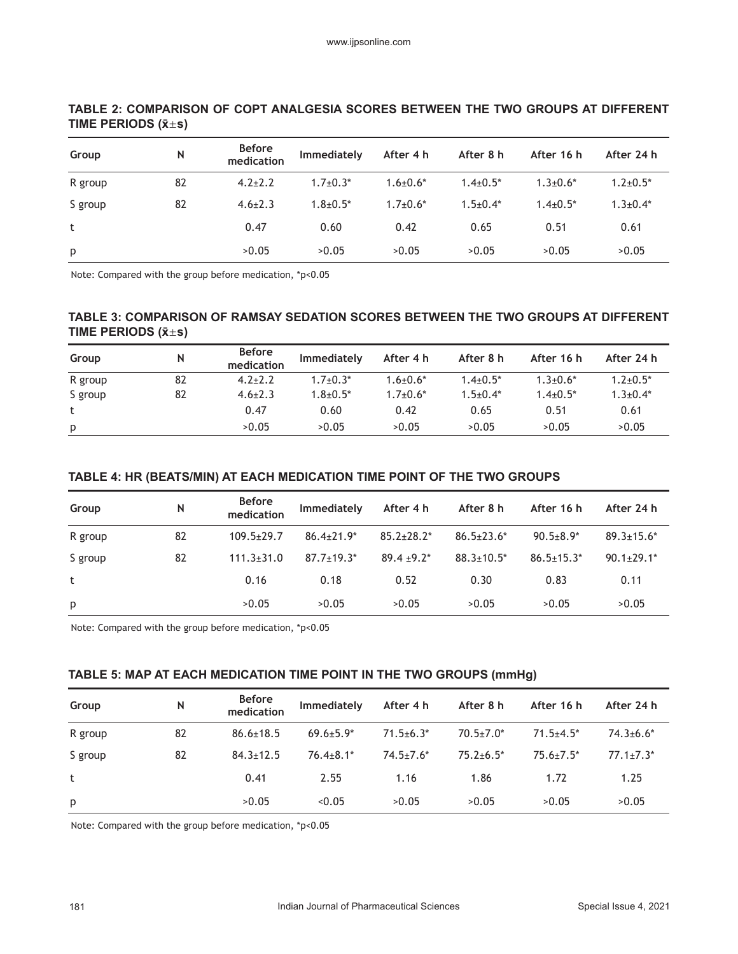| Group   | N  | <b>Before</b><br>medication | Immediately    | After 4 h       | After 8 h    | After 16 h      | After 24 h      |
|---------|----|-----------------------------|----------------|-----------------|--------------|-----------------|-----------------|
| R group | 82 | $4.2 \pm 2.2$               | $1.7 \pm 0.3*$ | $1.6 \pm 0.6^*$ | $1.4\pm0.5*$ | $1.3 \pm 0.6^*$ | $1.2 \pm 0.5^*$ |
| S group | 82 | $4.6 \pm 2.3$               | $1.8 + 0.5*$   | $1.7 \pm 0.6^*$ | $1.5+0.4*$   | $1.4 + 0.5^*$   | $1.3 \pm 0.4*$  |
| t       |    | 0.47                        | 0.60           | 0.42            | 0.65         | 0.51            | 0.61            |
| p       |    | >0.05                       | >0.05          | >0.05           | >0.05        | >0.05           | >0.05           |

## **TABLE 2: COMPARISON OF COPT ANALGESIA SCORES BETWEEN THE TWO GROUPS AT DIFFERENT TIME PERIODS (x̄s)**

Note: Compared with the group before medication, \*p<0.05

## **TABLE 3: COMPARISON OF RAMSAY SEDATION SCORES BETWEEN THE TWO GROUPS AT DIFFERENT TIME PERIODS (x̄s)**

| Group   | N  | <b>Before</b><br>medication | <b>Immediately</b> | After 4 h       | After 8 h    | After 16 h      | After 24 h     |
|---------|----|-----------------------------|--------------------|-----------------|--------------|-----------------|----------------|
| R group | 82 | $4.2 \pm 2.2$               | $1.7 \pm 0.3^*$    | $1.6 + 0.6*$    | $1.4\pm0.5*$ | $1.3 \pm 0.6^*$ | $1.2 + 0.5*$   |
| S group | 82 | $4.6 \pm 2.3$               | $1.8 + 0.5*$       | $1.7 \pm 0.6^*$ | $1.5+0.4*$   | $1.4 \pm 0.5^*$ | $1.3 \pm 0.4*$ |
|         |    | 0.47                        | 0.60               | 0.42            | 0.65         | 0.51            | 0.61           |
| p       |    | >0.05                       | >0.05              | >0.05           | >0.05        | >0.05           | >0.05          |

## **TABLE 4: HR (BEATS/MIN) AT EACH MEDICATION TIME POINT OF THE TWO GROUPS**

| Group   | N  | <b>Before</b><br>medication | Immediately       | After 4 h         | After 8 h         | After 16 h       | After 24 h        |
|---------|----|-----------------------------|-------------------|-------------------|-------------------|------------------|-------------------|
| R group | 82 | $109.5 \pm 29.7$            | $86.4 \pm 21.9^*$ | $85.2 \pm 28.2^*$ | $86.5 \pm 23.6^*$ | $90.5 \pm 8.9^*$ | $89.3 \pm 15.6^*$ |
| S group | 82 | $111.3 \pm 31.0$            | $87.7 \pm 19.3^*$ | $89.4 \pm 9.2^*$  | $88.3 \pm 10.5^*$ | $86.5 \pm 15.3*$ | $90.1 \pm 29.1^*$ |
| t       |    | 0.16                        | 0.18              | 0.52              | 0.30              | 0.83             | 0.11              |
| p       |    | >0.05                       | >0.05             | >0.05             | >0.05             | >0.05            | >0.05             |

Note: Compared with the group before medication, \*p<0.05

### **TABLE 5: MAP AT EACH MEDICATION TIME POINT IN THE TWO GROUPS (mmHg)**

| Group   | N  | <b>Before</b><br>medication | Immediately      | After 4 h        | After 8 h       | After 16 h       | After 24 h       |
|---------|----|-----------------------------|------------------|------------------|-----------------|------------------|------------------|
| R group | 82 | $86.6 \pm 18.5$             | $69.6 \pm 5.9^*$ | $71.5 \pm 6.3*$  | $70.5 \pm 7.0*$ | $71.5 + 4.5*$    | $74.3 \pm 6.6^*$ |
| S group | 82 | $84.3 \pm 12.5$             | $76.4 \pm 8.1*$  | $74.5 \pm 7.6^*$ | $75.2 + 6.5*$   | $75.6 \pm 7.5^*$ | $77.1 \pm 7.3*$  |
| t       |    | 0.41                        | 2.55             | 1.16             | 1.86            | 1.72             | 1.25             |
| p       |    | >0.05                       | < 0.05           | >0.05            | >0.05           | >0.05            | >0.05            |

Note: Compared with the group before medication, \*p<0.05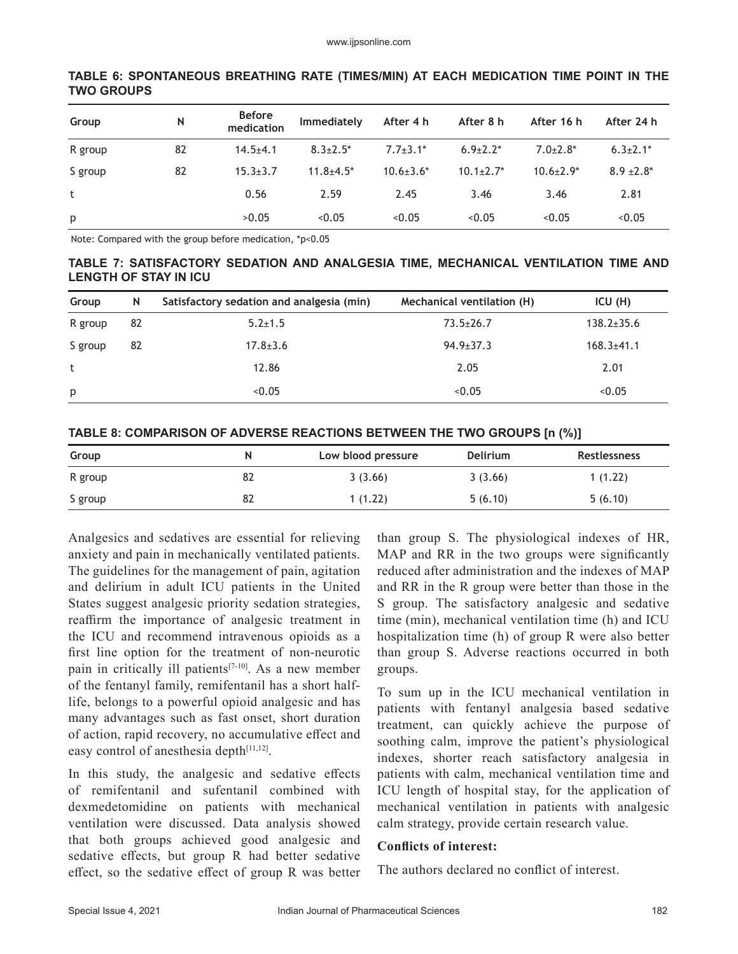| Group   | N  | <b>Before</b><br>medication | Immediately     | After 4 h        | After 8 h        | After 16 h      | After 24 h      |
|---------|----|-----------------------------|-----------------|------------------|------------------|-----------------|-----------------|
| R group | 82 | $14.5 + 4.1$                | $8.3 \pm 2.5^*$ | $7.7 + 3.1*$     | $6.9+2.2*$       | $7.0 \pm 2.8^*$ | $6.3 \pm 2.1^*$ |
| S group | 82 | $15.3 \pm 3.7$              | $11.8 + 4.5*$   | $10.6 \pm 3.6^*$ | $10.1 \pm 2.7^*$ | $10.6 \pm 2.9*$ | $8.9 \pm 2.8^*$ |
| t       |    | 0.56                        | 2.59            | 2.45             | 3.46             | 3.46            | 2.81            |
| p       |    | >0.05                       | < 0.05          | < 0.05           | < 0.05           | < 0.05          | < 0.05          |

#### **TABLE 6: SPONTANEOUS BREATHING RATE (TIMES/MIN) AT EACH MEDICATION TIME POINT IN THE TWO GROUPS**

Note: Compared with the group before medication, \*p<0.05

### **TABLE 7: SATISFACTORY SEDATION AND ANALGESIA TIME, MECHANICAL VENTILATION TIME AND LENGTH OF STAY IN ICU**

| Group   | N  | Satisfactory sedation and analgesia (min) | Mechanical ventilation (H) | ICU(H)           |
|---------|----|-------------------------------------------|----------------------------|------------------|
| R group | 82 | $5.2 \pm 1.5$                             | $73.5 \pm 26.7$            | $138.2 \pm 35.6$ |
| S group | 82 | $17.8 \pm 3.6$                            | $94.9 \pm 37.3$            | $168.3 \pm 41.1$ |
| t       |    | 12.86                                     | 2.05                       | 2.01             |
| p       |    | < 0.05                                    | < 0.05                     | < 0.05           |

#### **TABLE 8: COMPARISON OF ADVERSE REACTIONS BETWEEN THE TWO GROUPS [n (%)]**

| Group   | N  | Low blood pressure | <b>Delirium</b> | Restlessness |
|---------|----|--------------------|-----------------|--------------|
| R group | 82 | 3(3.66)            | 3(3.66)         | 1(1.22)      |
| S group | 82 | 1(1.22)            | 5(6.10)         | 5(6.10)      |

Analgesics and sedatives are essential for relieving anxiety and pain in mechanically ventilated patients. The guidelines for the management of pain, agitation and delirium in adult ICU patients in the United States suggest analgesic priority sedation strategies, reaffirm the importance of analgesic treatment in the ICU and recommend intravenous opioids as a first line option for the treatment of non-neurotic pain in critically ill patients<sup>[7-10]</sup>. As a new member of the fentanyl family, remifentanil has a short halflife, belongs to a powerful opioid analgesic and has many advantages such as fast onset, short duration of action, rapid recovery, no accumulative effect and easy control of anesthesia depth<sup>[11,12]</sup>.

In this study, the analgesic and sedative effects of remifentanil and sufentanil combined with dexmedetomidine on patients with mechanical ventilation were discussed. Data analysis showed that both groups achieved good analgesic and sedative effects, but group R had better sedative effect, so the sedative effect of group R was better than group S. The physiological indexes of HR, MAP and RR in the two groups were significantly reduced after administration and the indexes of MAP and RR in the R group were better than those in the S group. The satisfactory analgesic and sedative time (min), mechanical ventilation time (h) and ICU hospitalization time (h) of group R were also better than group S. Adverse reactions occurred in both groups.

To sum up in the ICU mechanical ventilation in patients with fentanyl analgesia based sedative treatment, can quickly achieve the purpose of soothing calm, improve the patient's physiological indexes, shorter reach satisfactory analgesia in patients with calm, mechanical ventilation time and ICU length of hospital stay, for the application of mechanical ventilation in patients with analgesic calm strategy, provide certain research value.

#### **Conflicts of interest:**

The authors declared no conflict of interest.